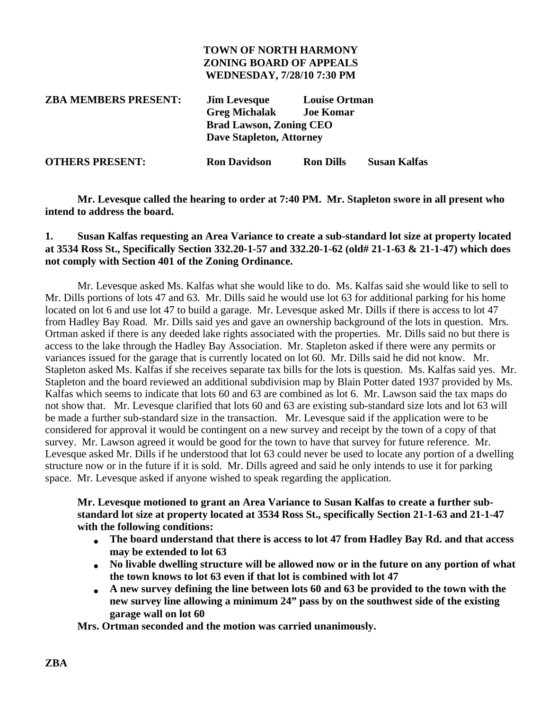## **TOWN OF NORTH HARMONY ZONING BOARD OF APPEALS WEDNESDAY, 7/28/10 7:30 PM**

| <b>ZBA MEMBERS PRESENT:</b> | <b>Louise Ortman</b><br><b>Jim Levesque</b><br><b>Greg Michalak</b><br><b>Joe Komar</b><br><b>Brad Lawson, Zoning CEO</b> |                  |              |
|-----------------------------|---------------------------------------------------------------------------------------------------------------------------|------------------|--------------|
|                             | <b>Dave Stapleton, Attorney</b>                                                                                           |                  |              |
| <b>OTHERS PRESENT:</b>      | <b>Ron Davidson</b>                                                                                                       | <b>Ron Dills</b> | Susan Kalfas |

**Mr. Levesque called the hearing to order at 7:40 PM. Mr. Stapleton swore in all present who intend to address the board.**

## **1. Susan Kalfas requesting an Area Variance to create a sub-standard lot size at property located at 3534 Ross St., Specifically Section 332.20-1-57 and 332.20-1-62 (old# 21-1-63 & 21-1-47) which does not comply with Section 401 of the Zoning Ordinance.**

Mr. Levesque asked Ms. Kalfas what she would like to do. Ms. Kalfas said she would like to sell to Mr. Dills portions of lots 47 and 63. Mr. Dills said he would use lot 63 for additional parking for his home located on lot 6 and use lot 47 to build a garage. Mr. Levesque asked Mr. Dills if there is access to lot 47 from Hadley Bay Road. Mr. Dills said yes and gave an ownership background of the lots in question. Mrs. Ortman asked if there is any deeded lake rights associated with the properties. Mr. Dills said no but there is access to the lake through the Hadley Bay Association. Mr. Stapleton asked if there were any permits or variances issued for the garage that is currently located on lot 60. Mr. Dills said he did not know. Mr. Stapleton asked Ms. Kalfas if she receives separate tax bills for the lots is question. Ms. Kalfas said yes. Mr. Stapleton and the board reviewed an additional subdivision map by Blain Potter dated 1937 provided by Ms. Kalfas which seems to indicate that lots 60 and 63 are combined as lot 6. Mr. Lawson said the tax maps do not show that. Mr. Levesque clarified that lots 60 and 63 are existing sub-standard size lots and lot 63 will be made a further sub-standard size in the transaction. Mr. Levesque said if the application were to be considered for approval it would be contingent on a new survey and receipt by the town of a copy of that survey. Mr. Lawson agreed it would be good for the town to have that survey for future reference. Mr. Levesque asked Mr. Dills if he understood that lot 63 could never be used to locate any portion of a dwelling structure now or in the future if it is sold. Mr. Dills agreed and said he only intends to use it for parking space. Mr. Levesque asked if anyone wished to speak regarding the application.

**Mr. Levesque motioned to grant an Area Variance to Susan Kalfas to create a further substandard lot size at property located at 3534 Ross St., specifically Section 21-1-63 and 21-1-47 with the following conditions:**

- **The board understand that there is access to lot 47 from Hadley Bay Rd. and that access may be extended to lot 63**
- **No livable dwelling structure will be allowed now or in the future on any portion of what the town knows to lot 63 even if that lot is combined with lot 47**
- **A new survey defining the line between lots 60 and 63 be provided to the town with the new survey line allowing a minimum 24" pass by on the southwest side of the existing garage wall on lot 60**

**Mrs. Ortman seconded and the motion was carried unanimously.**